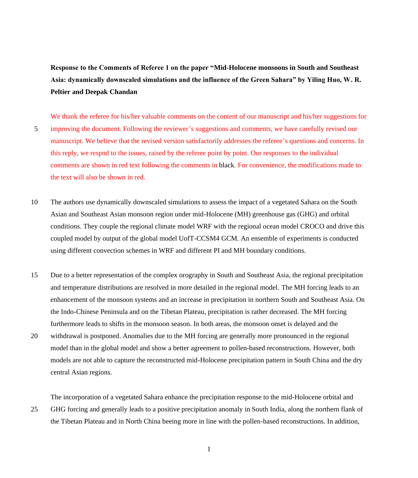**Response to the Comments of Referee 1 on the paper "Mid-Holocene monsoons in South and Southeast Asia: dynamically downscaled simulations and the influence of the Green Sahara" by Yiling Huo, W. R. Peltier and Deepak Chandan**

We thank the referee for his/her valuable comments on the content of our manuscript and his/her suggestions for 5 improving the document. Following the reviewer's suggestions and comments, we have carefully revised our manuscript. We believe that the revised version satisfactorily addresses the referee's questions and concerns. In this reply, we respnd to the issues, raised by the referee point by point. Our responses to the individual comments are shown in red text following the comments in black. For convenience, the modifications made to the text will also be shown in red.

- 10 The authors use dynamically downscaled simulations to assess the impact of a vegetated Sahara on the South Asian and Southeast Asian monsoon region under mid-Holocene (MH) greenhouse gas (GHG) and orbital conditions. They couple the regional climate model WRF with the regional ocean model CROCO and drive this coupled model by output of the global model UofT-CCSM4 GCM. An ensemble of experiments is conducted using different convection schemes in WRF and different PI and MH boundary conditions.
- 15 Due to a better representation of the complex orography in South and Southeast Asia, the regional precipitation and temperature distributions are resolved in more detailed in the regional model. The MH forcing leads to an enhancement of the monsoon systems and an increase in precipitation in northern South and Southeast Asia. On the Indo-Chinese Peninsula and on the Tibetan Plateau, precipitation is rather decreased. The MH forcing furthermore leads to shifts in the monsoon season. In both areas, the monsoon onset is delayed and the
- 20 withdrawal is postponed. Anomalies due to the MH forcing are generally more pronounced in the regional model than in the global model and show a better agreement to pollen-based reconstructions. However, both models are not able to capture the reconstructed mid-Holocene precipitation pattern in South China and the dry central Asian regions.

The incorporation of a vegetated Sahara enhance the precipitation response to the mid-Holocene orbital and 25 GHG forcing and generally leads to a positive precipitation anomaly in South India, along the northern flank of

the Tibetan Plateau and in North China beeing more in line with the pollen-based reconstructions. In addition,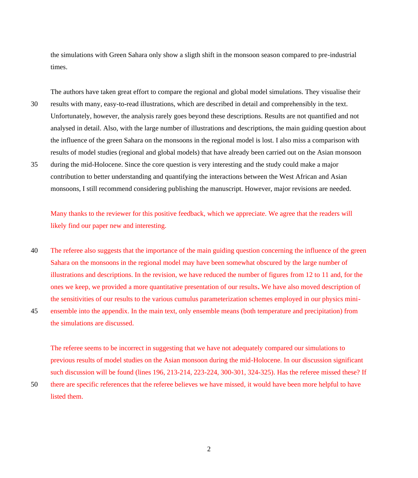the simulations with Green Sahara only show a sligth shift in the monsoon season compared to pre-industrial times.

The authors have taken great effort to compare the regional and global model simulations. They visualise their 30 results with many, easy-to-read illustrations, which are described in detail and comprehensibly in the text. Unfortunately, however, the analysis rarely goes beyond these descriptions. Results are not quantified and not analysed in detail. Also, with the large number of illustrations and descriptions, the main guiding question about the influence of the green Sahara on the monsoons in the regional model is lost. I also miss a comparison with results of model studies (regional and global models) that have already been carried out on the Asian monsoon

35 during the mid-Holocene. Since the core question is very interesting and the study could make a major contribution to better understanding and quantifying the interactions between the West African and Asian monsoons, I still recommend considering publishing the manuscript. However, major revisions are needed.

Many thanks to the reviewer for this positive feedback, which we appreciate. We agree that the readers will likely find our paper new and interesting.

- 40 The referee also suggests that the importance of the main guiding question concerning the influence of the green Sahara on the monsoons in the regional model may have been somewhat obscured by the large number of illustrations and descriptions. In the revision, we have reduced the number of figures from 12 to 11 and, for the ones we keep, we provided a more quantitative presentation of our results**.** We have also moved description of the sensitivities of our results to the various cumulus parameterization schemes employed in our physics mini-45 ensemble into the appendix. In the main text, only ensemble means (both temperature and precipitation) from
- the simulations are discussed.

The referee seems to be incorrect in suggesting that we have not adequately compared our simulations to previous results of model studies on the Asian monsoon during the mid-Holocene. In our discussion significant such discussion will be found (lines 196, 213-214, 223-224, 300-301, 324-325). Has the referee missed these? If

50 there are specific references that the referee believes we have missed, it would have been more helpful to have listed them.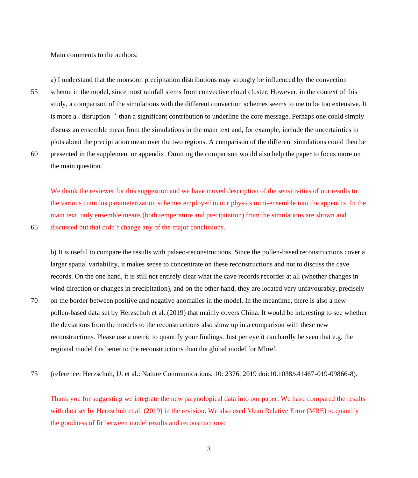Main comments to the authors:

a) I understand that the monsoon precipitation distributions may strongly be influenced by the convection 55 scheme in the model, since most rainfall stems from convective cloud cluster. However, in the context of this study, a comparison of the simulations with the different convection schemes seems to me to be too extensive. It is more a, disruption  $\epsilon$  than a significant contribution to underline the core message. Perhaps one could simply discuss an ensemble mean from the simulations in the main text and, for example, include the uncertainties in

60 presented in the supplement or appendix. Omitting the comparison would also help the paper to focus more on the main question.

plots about the precipitation mean over the two regions. A comparison of the different simulations could then be

We thank the reviewer for this suggestion and we have moved description of the sensitivities of our results to the various cumulus parameterization schemes employed in our physics mini-ensemble into the appendix. In the main text, only ensemble means (both temperature and precipitation) from the simulations are shown and 65 discussed but that didn't change any of the major conclusions.

b) It is useful to compare the results with palaeo-reconstructions. Since the pollen-based reconstructions cover a larger spatial variability, it makes sense to concentrate on these reconstructions and not to discuss the cave records. On the one hand, it is still not entirely clear what the cave records recorder at all (whether changes in wind direction or changes in precipitation), and on the other hand, they are located very unfavourably, precisely 70 on the border between positive and negative anomalies in the model. In the meantime, there is also a new pollen-based data set by Herzschuh et al. (2019) that mainly covers China. It would be interesting to see whether the deviations from the models to the reconstructions also show up in a comparison with these new reconstructions. Please use a metric to quantify your findings. Just per eye it can hardly be seen that e.g. the

75 (reference: Herzschuh, U. et al.: Nature Communications, 10: 2376, 2019 doi:10.1038/s41467-019-09866-8).

regional model fits better to the reconstructions than the global model for Mhref.

Thank you for suggesting we integrate the new palynological data into our paper. We have compared the results with data set by Herzschuh et al. (2019) in the revision. We also used Mean Relative Error (MRE) to quantify the goodness of fit between model results and reconstructions: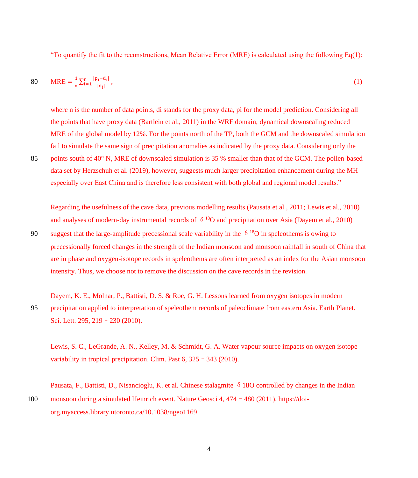"To quantify the fit to the reconstructions, Mean Relative Error (MRE) is calculated using the following Eq(1):

$$
80 \qquad \text{MRE} = \frac{1}{n} \sum_{i=1}^{n} \frac{|p_i - d_i|}{|d_i|},\tag{1}
$$

where n is the number of data points, di stands for the proxy data, pi for the model prediction. Considering all the points that have proxy data (Bartlein et al., 2011) in the WRF domain, dynamical downscaling reduced MRE of the global model by 12%. For the points north of the TP, both the GCM and the downscaled simulation fail to simulate the same sign of precipitation anomalies as indicated by the proxy data. Considering only the

85 points south of 40° N, MRE of downscaled simulation is 35 % smaller than that of the GCM. The pollen-based data set by Herzschuh et al. (2019), however, suggests much larger precipitation enhancement during the MH especially over East China and is therefore less consistent with both global and regional model results."

Regarding the usefulness of the cave data, previous modelling results (Pausata et al., 2011; Lewis et al., 2010) and analyses of modern-day instrumental records of  $\delta^{18}$ O and precipitation over Asia (Dayem et al., 2010)

- 90 suggest that the large-amplitude precessional scale variability in the  $\delta^{18}$ O in speleothems is owing to precessionally forced changes in the strength of the Indian monsoon and monsoon rainfall in south of China that are in phase and oxygen-isotope records in speleothems are often interpreted as an index for the Asian monsoon intensity. Thus, we choose not to remove the discussion on the cave records in the revision.
- Dayem, K. E., Molnar, P., Battisti, D. S. & Roe, G. H. Lessons learned from oxygen isotopes in modern 95 precipitation applied to interpretation of speleothem records of paleoclimate from eastern Asia. Earth Planet. Sci. Lett. 295, 219–230 (2010).

Lewis, S. C., LeGrande, A. N., Kelley, M. & Schmidt, G. A. Water vapour source impacts on oxygen isotope variability in tropical precipitation. Clim. Past 6, 325 - 343 (2010).

Pausata, F., Battisti, D., Nisancioglu, K. et al. Chinese stalagmite  $\delta$  18O controlled by changes in the Indian 100 monsoon during a simulated Heinrich event. Nature Geosci 4, 474–480 (2011). https://doiorg.myaccess.library.utoronto.ca/10.1038/ngeo1169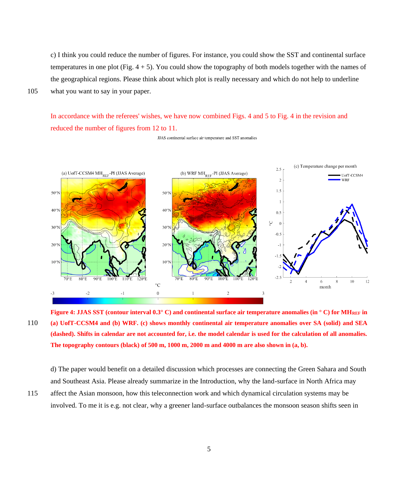c) I think you could reduce the number of figures. For instance, you could show the SST and continental surface temperatures in one plot (Fig. 4 + 5). You could show the topography of both models together with the names of the geographical regions. Please think about which plot is really necessary and which do not help to underline 105 what you want to say in your paper.

In accordance with the referees' wishes, we have now combined Figs. 4 and 5 to Fig. 4 in the revision and reduced the number of figures from 12 to 11.



JJAS continental surface air temperature and SST anomalies

**Figure 4: JJAS SST (contour interval 0.3° C) and continental surface air temperature anomalies (in ° C) for MHREF in**  110 **(a) UofT-CCSM4 and (b) WRF. (c) shows monthly continental air temperature anomalies over SA (solid) and SEA (dashed). Shifts in calendar are not accounted for, i.e. the model calendar is used for the calculation of all anomalies. The topography contours (black) of 500 m, 1000 m, 2000 m and 4000 m are also shown in (a, b).**

d) The paper would benefit on a detailed discussion which processes are connecting the Green Sahara and South and Southeast Asia. Please already summarize in the Introduction, why the land-surface in North Africa may

115 affect the Asian monsoon, how this teleconnection work and which dynamical circulation systems may be involved. To me it is e.g. not clear, why a greener land-surface outbalances the monsoon season shifts seen in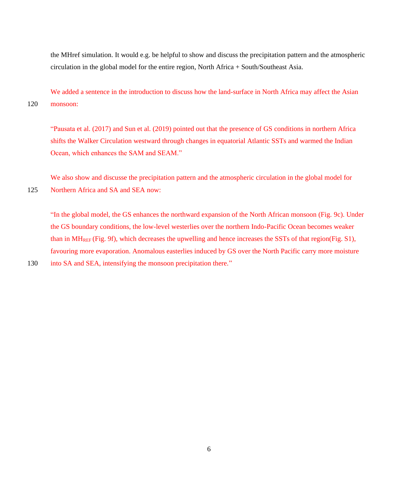the MHref simulation. It would e.g. be helpful to show and discuss the precipitation pattern and the atmospheric circulation in the global model for the entire region, North Africa + South/Southeast Asia.

We added a sentence in the introduction to discuss how the land-surface in North Africa may affect the Asian 120 monsoon:

"Pausata et al. (2017) and Sun et al. (2019) pointed out that the presence of GS conditions in northern Africa shifts the Walker Circulation westward through changes in equatorial Atlantic SSTs and warmed the Indian Ocean, which enhances the SAM and SEAM."

We also show and discusse the precipitation pattern and the atmospheric circulation in the global model for 125 Northern Africa and SA and SEA now:

"In the global model, the GS enhances the northward expansion of the North African monsoon (Fig. 9c). Under the GS boundary conditions, the low-level westerlies over the northern Indo-Pacific Ocean becomes weaker than in MH<sub>REF</sub> (Fig. 9f), which decreases the upwelling and hence increases the SSTs of that region(Fig. S1), favouring more evaporation. Anomalous easterlies induced by GS over the North Pacific carry more moisture

```
130 into SA and SEA, intensifying the monsoon precipitation there."
```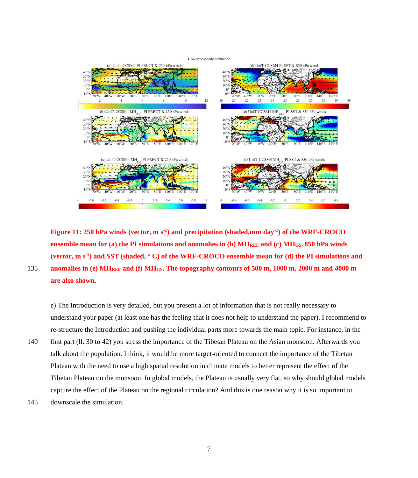## JJAS atmospheric circulation



**Figure 11: 250 hPa winds (vector, m s-1 ) and precipitation (shaded,mm day-1 ) of the WRF-CROCO ensemble mean for (a) the PI simulations and anomalies in (b) MHREF and (c) MHGS. 850 hPa winds (vector, m s-1 ) and SST (shaded, ° C) of the WRF-CROCO ensemble mean for (d) the PI simulations and**  135 **anomalies in (e) MHREF and (f) MHGS. The topography contours of 500 m, 1000 m, 2000 m and 4000 m are also shown.**

e) The Introduction is very detailed, but you present a lot of information that is not really necessary to understand your paper (at least one has the feeling that it does not help to understand the paper). I recommend to re-structure the Introduction and pushing the individual parts more towards the main topic. For instance, in the 140 first part (ll. 30 to 42) you stress the importance of the Tibetan Plateau on the Asian monsoon. Afterwards you talk about the population. I think, it would be more target-oriented to connect the importance of the Tibetan Plateau with the need to use a high spatial resolution in climate models to better represent the effect of the Tibetan Plateau on the monsoon. In global models, the Plateau is usually very flat, so why should global models

capture the effect of the Plateau on the regional circulation? And this is one reason why it is so important to

145 downscale the simulation.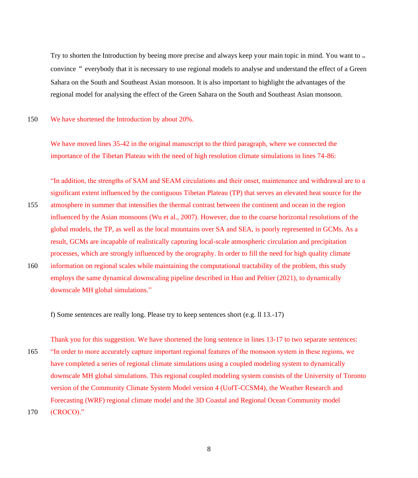Try to shorten the Introduction by beeing more precise and always keep your main topic in mind. You want to ... convince" everybody that it is necessary to use regional models to analyse and understand the effect of a Green Sahara on the South and Southeast Asian monsoon. It is also important to highlight the advantages of the regional model for analysing the effect of the Green Sahara on the South and Southeast Asian monsoon.

150 We have shortened the Introduction by about 20%.

We have moved lines 35-42 in the original manuscript to the third paragraph, where we connected the importance of the Tibetan Plateau with the need of high resolution climate simulations in lines 74-86:

"In addition, the strengths of SAM and SEAM circulations and their onset, maintenance and withdrawal are to a significant extent influenced by the contiguous Tibetan Plateau (TP) that serves an elevated heat source for the

- 155 atmosphere in summer that intensifies the thermal contrast between the continent and ocean in the region influenced by the Asian monsoons (Wu et al., 2007). However, due to the coarse horizontal resolutions of the global models, the TP, as well as the local mountains over SA and SEA, is poorly represented in GCMs. As a result, GCMs are incapable of realistically capturing local-scale atmospheric circulation and precipitation processes, which are strongly influenced by the orography. In order to fill the need for high quality climate
- 160 information on regional scales while maintaining the computational tractability of the problem, this study employs the same dynamical downscaling pipeline described in Huo and Peltier (2021), to dynamically downscale MH global simulations."

f) Some sentences are really long. Please try to keep sentences short (e.g. ll 13.-17)

Thank you for this suggestion. We have shortened the long sentence in lines 13-17 to two separate sentences: 165 "In order to more accurately capture important regional features of the monsoon system in these regions, we have completed a series of regional climate simulations using a coupled modeling system to dynamically downscale MH global simulations. This regional coupled modeling system consists of the University of Toronto version of the Community Climate System Model version 4 (UofT-CCSM4), the Weather Research and Forecasting (WRF) regional climate model and the 3D Coastal and Regional Ocean Community model 170 (CROCO)."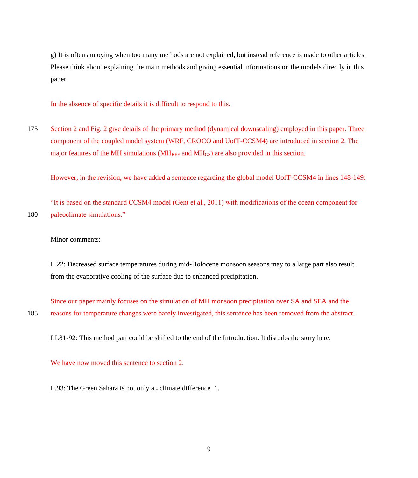g) It is often annoying when too many methods are not explained, but instead reference is made to other articles. Please think about explaining the main methods and giving essential informations on the models directly in this paper.

In the absence of specific details it is difficult to respond to this.

175 Section 2 and Fig. 2 give details of the primary method (dynamical downscaling) employed in this paper. Three component of the coupled model system (WRF, CROCO and UofT-CCSM4) are introduced in section 2. The major features of the MH simulations  $(MH_{REF}$  and  $MH_{GS}$ ) are also provided in this section.

However, in the revision, we have added a sentence regarding the global model UofT-CCSM4 in lines 148-149:

"It is based on the standard CCSM4 model (Gent et al., 2011) with modifications of the ocean component for 180 paleoclimate simulations."

Minor comments:

L 22: Decreased surface temperatures during mid-Holocene monsoon seasons may to a large part also result from the evaporative cooling of the surface due to enhanced precipitation.

Since our paper mainly focuses on the simulation of MH monsoon precipitation over SA and SEA and the 185 reasons for temperature changes were barely investigated, this sentence has been removed from the abstract.

LL81-92: This method part could be shifted to the end of the Introduction. It disturbs the story here.

We have now moved this sentence to section 2.

L.93: The Green Sahara is not only a, climate difference '.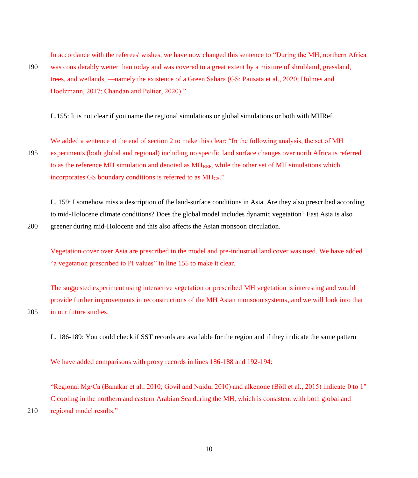In accordance with the referees' wishes, we have now changed this sentence to "During the MH, northern Africa

190 was considerably wetter than today and was covered to a great extent by a mixture of shrubland, grassland, trees, and wetlands, —namely the existence of a Green Sahara (GS; Pausata et al., 2020; Holmes and Hoelzmann, 2017; Chandan and Peltier, 2020)."

L.155: It is not clear if you name the regional simulations or global simulations or both with MHRef.

We added a sentence at the end of section 2 to make this clear: "In the following analysis, the set of MH 195 experiments (both global and regional) including no specific land surface changes over north Africa is referred to as the reference MH simulation and denoted as  $MH_{REF}$ , while the other set of MH simulations which incorporates GS boundary conditions is referred to as MH<sub>GS</sub>."

L. 159: I somehow miss a description of the land-surface conditions in Asia. Are they also prescribed according to mid-Holocene climate conditions? Does the global model includes dynamic vegetation? East Asia is also 200 greener during mid-Holocene and this also affects the Asian monsoon circulation.

Vegetation cover over Asia are prescribed in the model and pre-industrial land cover was used. We have added "a vegetation prescribed to PI values" in line 155 to make it clear.

The suggested experiment using interactive vegetation or prescribed MH vegetation is interesting and would provide further improvements in reconstructions of the MH Asian monsoon systems, and we will look into that 205 in our future studies.

L. 186-189: You could check if SST records are available for the region and if they indicate the same pattern

We have added comparisons with proxy records in lines 186-188 and 192-194:

"Regional Mg/Ca (Banakar et al., 2010; Govil and Naidu, 2010) and alkenone (Böll et al., 2015) indicate 0 to 1° C cooling in the northern and eastern Arabian Sea during the MH, which is consistent with both global and 210 regional model results."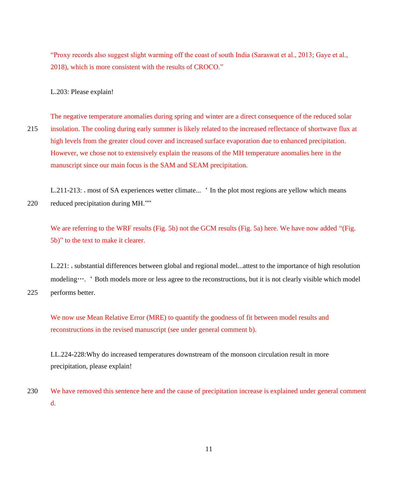"Proxy records also suggest slight warming off the coast of south India (Saraswat et al., 2013; Gaye et al., 2018), which is more consistent with the results of CROCO."

L.203: Please explain!

The negative temperature anomalies during spring and winter are a direct consequence of the reduced solar 215 insolation. The cooling during early summer is likely related to the increased reflectance of shortwave flux at high levels from the greater cloud cover and increased surface evaporation due to enhanced precipitation. However, we chose not to extensively explain the reasons of the MH temperature anomalies here in the manuscript since our main focus is the SAM and SEAM precipitation.

L.211-213: , most of SA experiences wetter climate... ' In the plot most regions are yellow which means 220 reduced precipitation during MH.""

We are referring to the WRF results (Fig. 5b) not the GCM results (Fig. 5a) here. We have now added "(Fig. 5b)" to the text to make it clearer.

L.221: , substantial differences between global and regional model...attest to the importance of high resolution modeling….' Both models more or less agree to the reconstructions, but it is not clearly visible which model 225 performs better.

We now use Mean Relative Error (MRE) to quantify the goodness of fit between model results and reconstructions in the revised manuscript (see under general comment b).

LL.224-228:Why do increased temperatures downstream of the monsoon circulation result in more precipitation, please explain!

230 We have removed this sentence here and the cause of precipitation increase is explained under general comment d.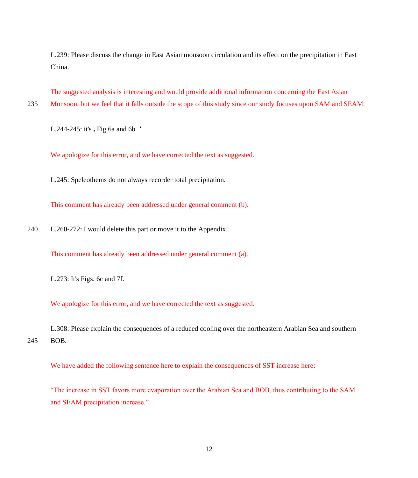L.239: Please discuss the change in East Asian monsoon circulation and its effect on the precipitation in East China.

The suggested analysis is interesting and would provide additional information concerning the East Asian

235 Monsoon, but we feel that it falls outside the scope of this study since our study focuses upon SAM and SEAM.

L.244-245: it's, Fig.6a and 6b $'$ 

We apologize for this error, and we have corrected the text as suggested.

L.245: Speleothems do not always recorder total precipitation.

This comment has already been addressed under general comment (b).

240 L.260-272: I would delete this part or move it to the Appendix.

This comment has already been addressed under general comment (a).

L.273: It's Figs. 6c and 7f.

We apologize for this error, and we have corrected the text as suggested.

L.308: Please explain the consequences of a reduced cooling over the northeastern Arabian Sea and southern 245 BOB.

We have added the following sentence here to explain the consequences of SST increase here:

"The increase in SST favors more evaporation over the Arabian Sea and BOB, thus contributing to the SAM and SEAM precipitation increase."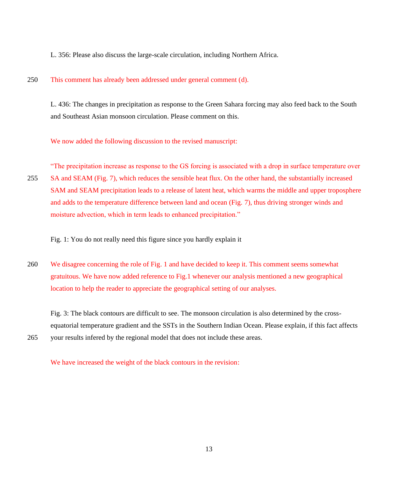L. 356: Please also discuss the large-scale circulation, including Northern Africa.

## 250 This comment has already been addressed under general comment (d).

L. 436: The changes in precipitation as response to the Green Sahara forcing may also feed back to the South and Southeast Asian monsoon circulation. Please comment on this.

We now added the following discussion to the revised manuscript:

"The precipitation increase as response to the GS forcing is associated with a drop in surface temperature over 255 SA and SEAM (Fig. 7), which reduces the sensible heat flux. On the other hand, the substantially increased SAM and SEAM precipitation leads to a release of latent heat, which warms the middle and upper troposphere and adds to the temperature difference between land and ocean (Fig. 7), thus driving stronger winds and moisture advection, which in term leads to enhanced precipitation."

Fig. 1: You do not really need this figure since you hardly explain it

260 We disagree concerning the role of Fig. 1 and have decided to keep it. This comment seems somewhat gratuitous. We have now added reference to Fig.1 whenever our analysis mentioned a new geographical location to help the reader to appreciate the geographical setting of our analyses.

Fig. 3: The black contours are difficult to see. The monsoon circulation is also determined by the crossequatorial temperature gradient and the SSTs in the Southern Indian Ocean. Please explain, if this fact affects

265 your results infered by the regional model that does not include these areas.

We have increased the weight of the black contours in the revision: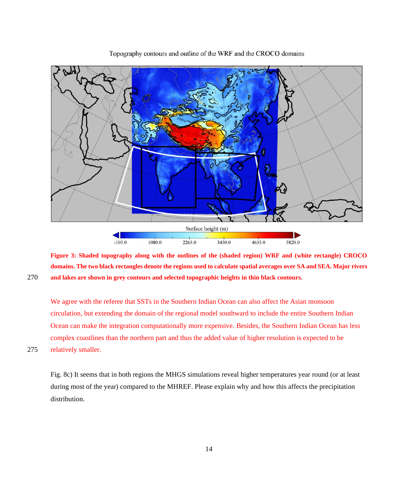

Topography contours and outline of the WRF and the CROCO domains

**Figure 3: Shaded topography along with the outlines of the (shaded region) WRF and (white rectangle) CROCO domains. The two black rectangles denote the regions used to calculate spatial averages over SA and SEA. Major rivers**  270 **and lakes are shown in grey contours and selected topographic heights in thin black contours.** 

We agree with the referee that SSTs in the Southern Indian Ocean can also affect the Asian monsoon circulation, but extending the domain of the regional model southward to include the entire Southern Indian Ocean can make the integration computationally more expensive. Besides, the Southern Indian Ocean has less complex coastlines than the northern part and thus the added value of higher resolution is expected to be

275 relatively smaller.

Fig. 8c) It seems that in both regions the MHGS simulations reveal higher temperatures year round (or at least during most of the year) compared to the MHREF. Please explain why and how this affects the precipitation distribution.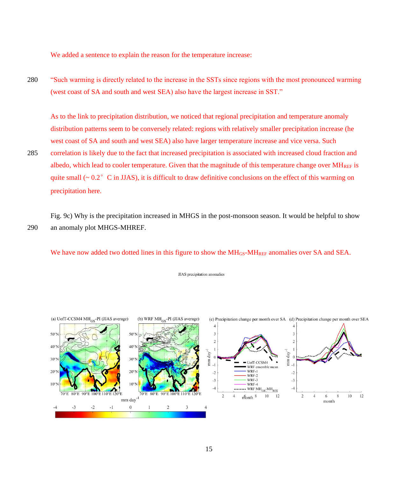We added a sentence to explain the reason for the temperature increase:

280 "Such warming is directly related to the increase in the SSTs since regions with the most pronounced warming (west coast of SA and south and west SEA) also have the largest increase in SST."

As to the link to precipitation distribution, we noticed that regional precipitation and temperature anomaly distribution patterns seem to be conversely related: regions with relatively smaller precipitation increase (he west coast of SA and south and west SEA) also have larger temperature increase and vice versa. Such

285 correlation is likely due to the fact that increased precipitation is associated with increased cloud fraction and albedo, which lead to cooler temperature. Given that the magnitude of this temperature change over  $\text{MH}_{\text{REF}}$  is quite small  $\sim 0.2^{\circ}$  C in JJAS), it is difficult to draw definitive conclusions on the effect of this warming on precipitation here.

Fig. 9c) Why is the precipitation increased in MHGS in the post-monsoon season. It would be helpful to show 290 an anomaly plot MHGS-MHREF.

We have now added two dotted lines in this figure to show the MH<sub>GS</sub>-MH<sub>REF</sub> anomalies over SA and SEA.

JJAS precipitation anomalies